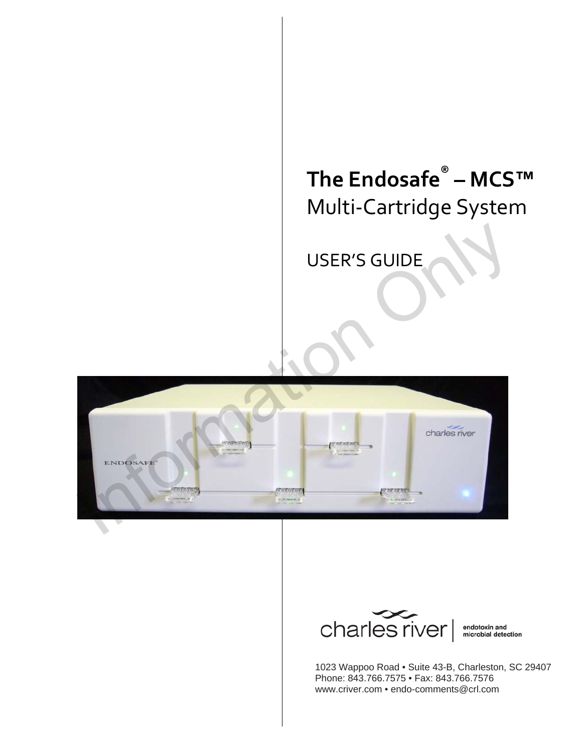# **The Endosafe® – MCS™** Multi‐Cartridge System

USER'S GUIDE





endotoxin and<br>microbial detection

1023 Wappoo Road • Suite 43-B, Charleston, SC 29407 Phone: 843.766.7575 • Fax: 843.766.7576 www.criver.com • endo-comments@crl.com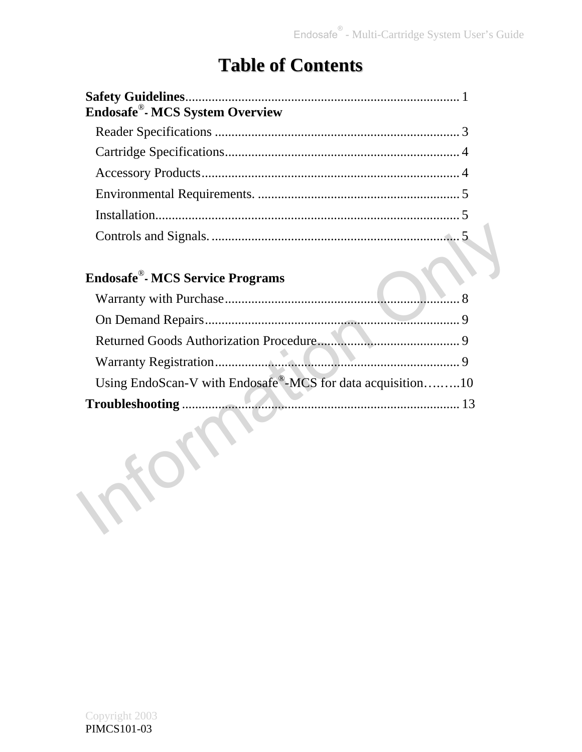## **Table of Contents**

| Endosafe®- MCS System Overview |  |
|--------------------------------|--|
|                                |  |
|                                |  |
|                                |  |
|                                |  |
|                                |  |
|                                |  |

### **Endosafe**®**- MCS Service Programs**

| <b>Endosafe<sup>®</sup></b> - MCS Service Programs         |   |
|------------------------------------------------------------|---|
|                                                            |   |
|                                                            | 9 |
|                                                            |   |
|                                                            | 9 |
| Using EndoScan-V with Endosafe®-MCS for data acquisition10 |   |
|                                                            |   |
|                                                            |   |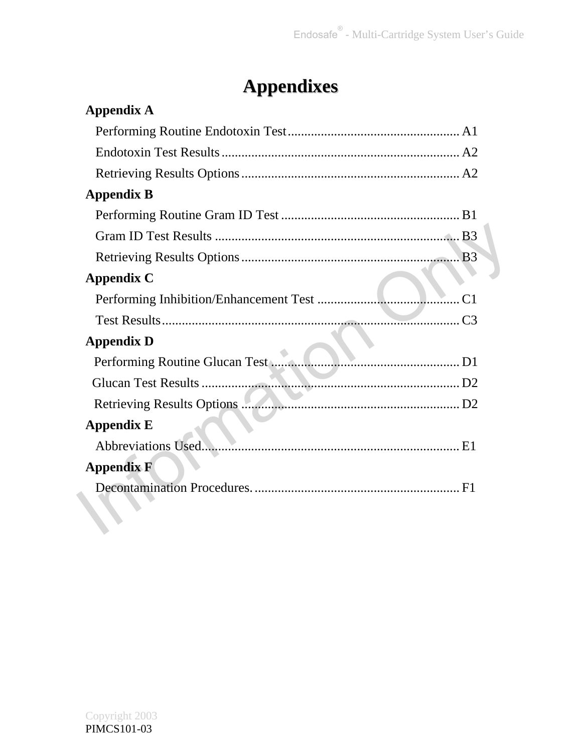# **Appendixes**

| <b>Appendix A</b>                    |
|--------------------------------------|
|                                      |
|                                      |
|                                      |
| <b>Appendix B</b>                    |
|                                      |
|                                      |
|                                      |
| <b>Appendix C</b>                    |
|                                      |
|                                      |
| <b>Appendix D</b>                    |
| Performing Routine Glucan Test<br>D1 |
|                                      |
|                                      |
| <b>Appendix E</b>                    |
|                                      |
| <b>Appendix F</b>                    |
|                                      |
|                                      |
|                                      |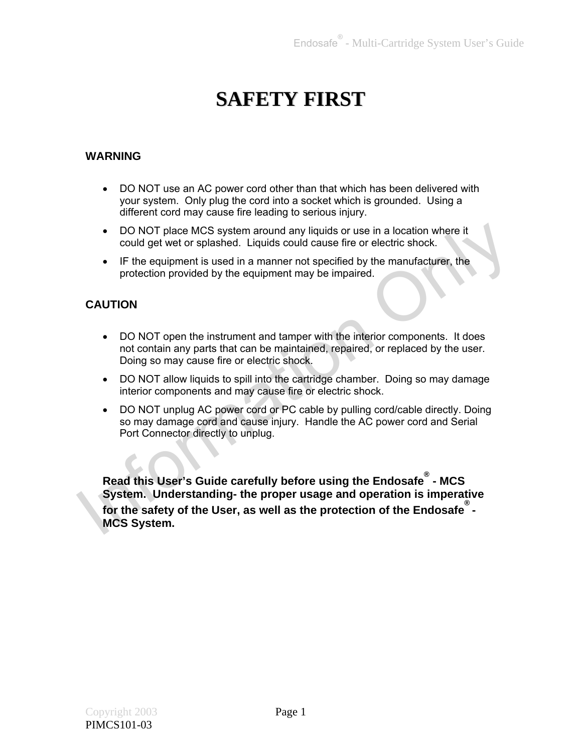## **SAFETY FIRST**

### **WARNING**

- DO NOT use an AC power cord other than that which has been delivered with your system. Only plug the cord into a socket which is grounded. Using a different cord may cause fire leading to serious injury.
- DO NOT place MCS system around any liquids or use in a location where it could get wet or splashed. Liquids could cause fire or electric shock.
- IF the equipment is used in a manner not specified by the manufacturer, the protection provided by the equipment may be impaired.

#### **CAUTION**

- DO NOT open the instrument and tamper with the interior components. It does not contain any parts that can be maintained, repaired, or replaced by the user. Doing so may cause fire or electric shock.
- DO NOT allow liquids to spill into the cartridge chamber. Doing so may damage interior components and may cause fire or electric shock.
- DO NOT unplug AC power cord or PC cable by pulling cord/cable directly. Doing so may damage cord and cause injury. Handle the AC power cord and Serial Port Connector directly to unplug.

**Read this User's Guide carefully before using the Endosafe® - MCS System. Understanding- the proper usage and operation is imperative for the safety of the User, as well as the protection of the Endosafe® - MCS System.**  ■ DO NOT place MCS system around any liquids or use in a location where it<br>
could get wet or splashed. Liquids could cause fire or electric shock.<br>
■ The equipment is used in a manner not specified by the manufacturer, th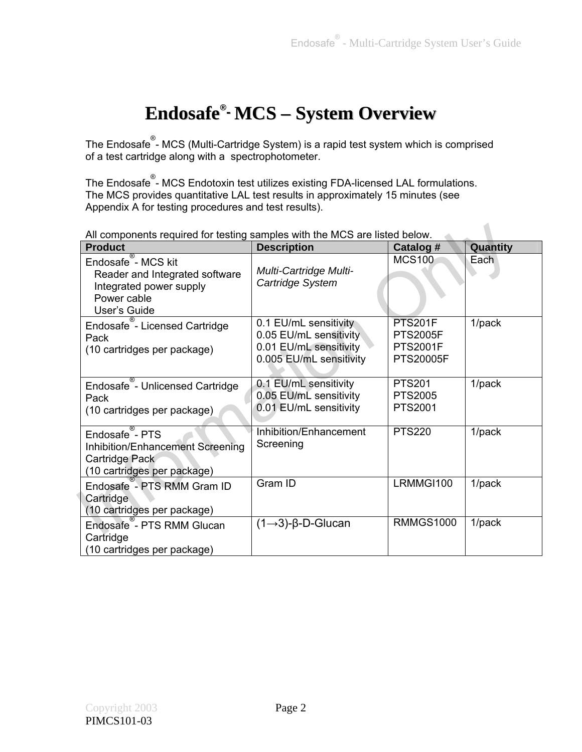## **Endosafe®- MCS – System Overview**

The Endosafe® - MCS (Multi-Cartridge System) is a rapid test system which is comprised of a test cartridge along with a spectrophotometer.

The Endosafe<sup>®</sup>- MCS Endotoxin test utilizes existing FDA-licensed LAL formulations. The MCS provides quantitative LAL test results in approximately 15 minutes (see Appendix A for testing procedures and test results).

| <b>Product</b>                                                                                                                            | <b>Description</b>                                                                                   | Catalog #                                                                | Quantity  |
|-------------------------------------------------------------------------------------------------------------------------------------------|------------------------------------------------------------------------------------------------------|--------------------------------------------------------------------------|-----------|
| $\overline{\mathbb{R}}$<br>Endosafe - MCS kit<br>Reader and Integrated software<br>Integrated power supply<br>Power cable<br>User's Guide | Multi-Cartridge Multi-<br>Cartridge System                                                           | <b>MCS100</b>                                                            | Each      |
| Endosafe - Licensed Cartridge<br>Pack<br>(10 cartridges per package)                                                                      | 0.1 EU/mL sensitivity<br>0.05 EU/mL sensitivity<br>0.01 EU/mL sensitivity<br>0.005 EU/mL sensitivity | <b>PTS201F</b><br><b>PTS2005F</b><br><b>PTS2001F</b><br><b>PTS20005F</b> | $1$ /pack |
| Endosafe - Unlicensed Cartridge<br>Pack<br>(10 cartridges per package)                                                                    | 0.1 EU/mL sensitivity<br>0.05 EU/mL sensitivity<br>0.01 EU/mL sensitivity                            | <b>PTS201</b><br><b>PTS2005</b><br>PTS2001                               | 1/pack    |
| Endosafe - PTS<br>Inhibition/Enhancement Screening<br>Cartridge Pack<br>(10 cartridges per package)                                       | Inhibition/Enhancement<br>Screening                                                                  | <b>PTS220</b>                                                            | $1$ /pack |
| Endosafe - PTS RMM Gram ID<br>Cartridge<br>(10 cartridges per package)                                                                    | Gram ID                                                                                              | LRMMGI100                                                                | $1$ /pack |
| Endosafe <sup>®</sup> - PTS RMM Glucan<br>Cartridge<br>(10 cartridges per package)                                                        | $(1\rightarrow 3)$ - $\beta$ -D-Glucan                                                               | <b>RMMGS1000</b>                                                         | $1$ /pack |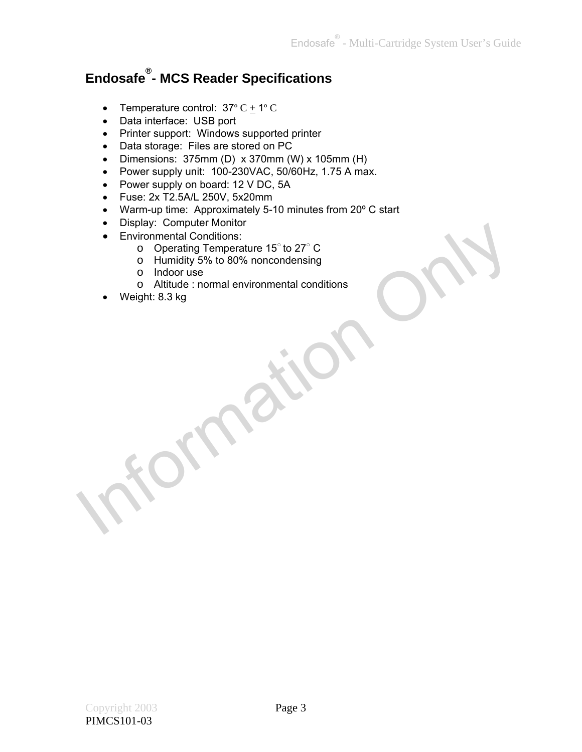### **Endosafe® - MCS Reader Specifications**

- Temperature control:  $37^{\circ}$  C  $+$  1° C
- Data interface: USB port
- Printer support: Windows supported printer
- Data storage: Files are stored on PC
- Dimensions:  $375mm$  (D) x 370mm (W) x 105mm (H)
- Power supply unit: 100-230VAC, 50/60Hz, 1.75 A max.
- Power supply on board: 12 V DC, 5A
- Fuse: 2x T2.5A/L 250V, 5x20mm
- Warm-up time: Approximately 5-10 minutes from 20° C start
- Display: Computer Monitor
- Environmental Conditions:
	- o Operating Temperature 15○ to 27○ C
	- o Humidity 5% to 80% noncondensing
	- o Indoor use
- o Altitude : normal environmental conditions Environmental Conditions:<br>
Christmental Conditions:<br>
Christmental Conditions<br>
Conditions<br>
Conditions<br>
Conditions<br>
Conditions<br>
Christman environmental conditions<br>
Christman environmental conditions<br>
Christman environmental
	- Weight: 8.3 kg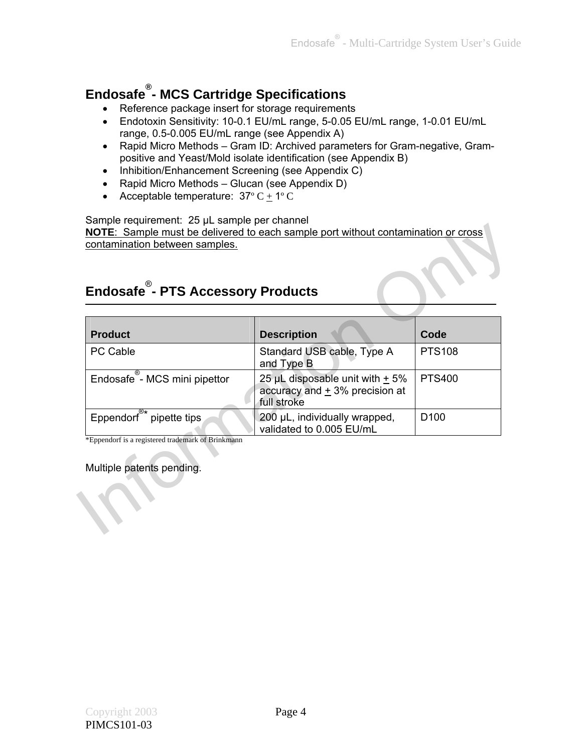## **Endosafe® - MCS Cartridge Specifications**

- Reference package insert for storage requirements
- Endotoxin Sensitivity: 10-0.1 EU/mL range, 5-0.05 EU/mL range, 1-0.01 EU/mL range, 0.5-0.005 EU/mL range (see Appendix A)
- Rapid Micro Methods Gram ID: Archived parameters for Gram-negative, Grampositive and Yeast/Mold isolate identification (see Appendix B)
- Inhibition/Enhancement Screening (see Appendix C)
- Rapid Micro Methods Glucan (see Appendix D)
- Acceptable temperature:  $37^{\circ}$  C + 1°C

#### Sample requirement: 25 µL sample per channel

### **Endosafe**® **- PTS Accessory Products**

| <b>Product</b>                       | <b>Description</b>                                                                            | Code             |
|--------------------------------------|-----------------------------------------------------------------------------------------------|------------------|
| PC Cable                             | Standard USB cable, Type A<br>and Type B                                                      | <b>PTS108</b>    |
| Endosafe - MCS mini pipettor         | 25 $\mu$ L disposable unit with $\pm$ 5%<br>accuracy and $\pm$ 3% precision at<br>full stroke | <b>PTS400</b>    |
| Eppendorf <sup>®*</sup> pipette tips | 200 µL, individually wrapped,<br>validated to 0.005 EU/mL                                     | D <sub>100</sub> |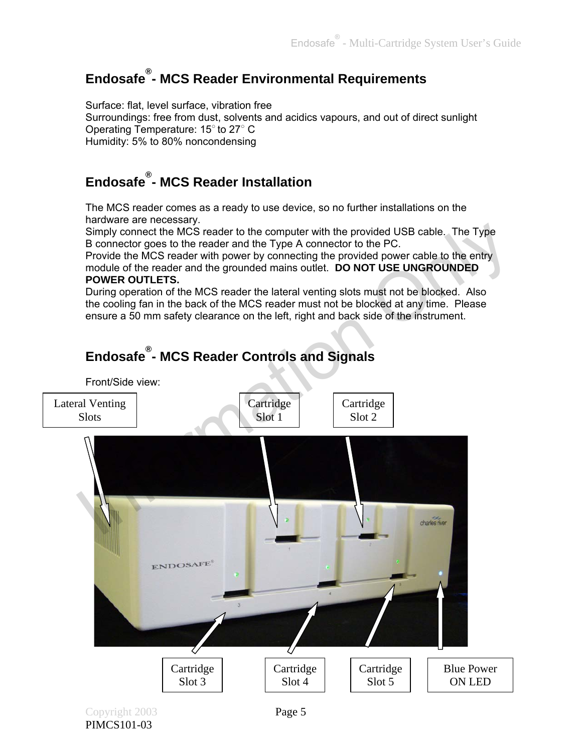### **Endosafe® - MCS Reader Environmental Requirements**

Surface: flat, level surface, vibration free Surroundings: free from dust, solvents and acidics vapours, and out of direct sunlight Operating Temperature: 15° to 27° C Humidity: 5% to 80% noncondensing

### **Endosafe® - MCS Reader Installation**

The MCS reader comes as a ready to use device, so no further installations on the hardware are necessary.

Simply connect the MCS reader to the computer with the provided USB cable. The Type B connector goes to the reader and the Type A connector to the PC.

Provide the MCS reader with power by connecting the provided power cable to the entry module of the reader and the grounded mains outlet. **DO NOT USE UNGROUNDED POWER OUTLETS.**

During operation of the MCS reader the lateral venting slots must not be blocked. Also the cooling fan in the back of the MCS reader must not be blocked at any time. Please ensure a 50 mm safety clearance on the left, right and back side of the instrument.

# Simply connect the MCS reader to the computer with the provided USB cable. The Type<br>
B connector goes to the reader and the Type A connector to the PC.<br>
Provide the MCS reader with power by connecting the provided power ca Front/Side view: Lateral Venting **Cartridge** Cartridge Slots Slot 1 Slot 2 ENDOSAFE Cartridge Cartridge Blue Power Cartridge Slot 5 Slot 3 Slot 4 ON LED Copyright 2003 Page 5 PIMCS101-03

### **Endosafe® - MCS Reader Controls and Signals**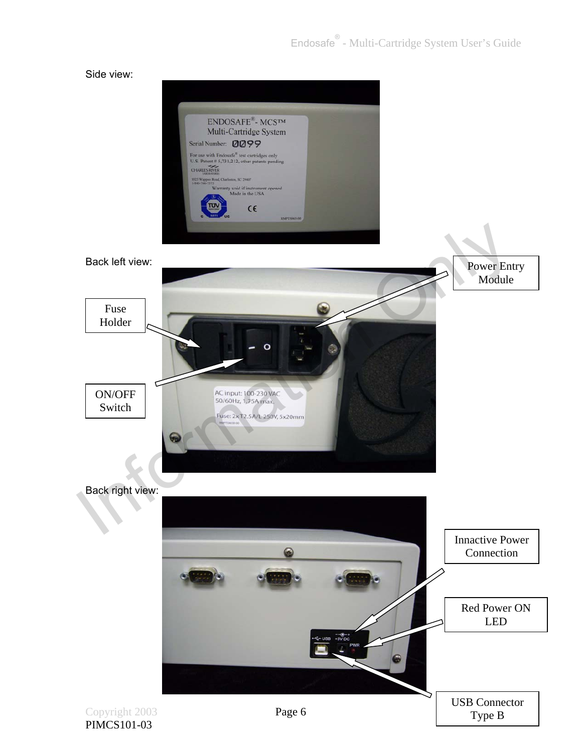#### Side view:



Back left view:

Power Entry Module



Back right view:

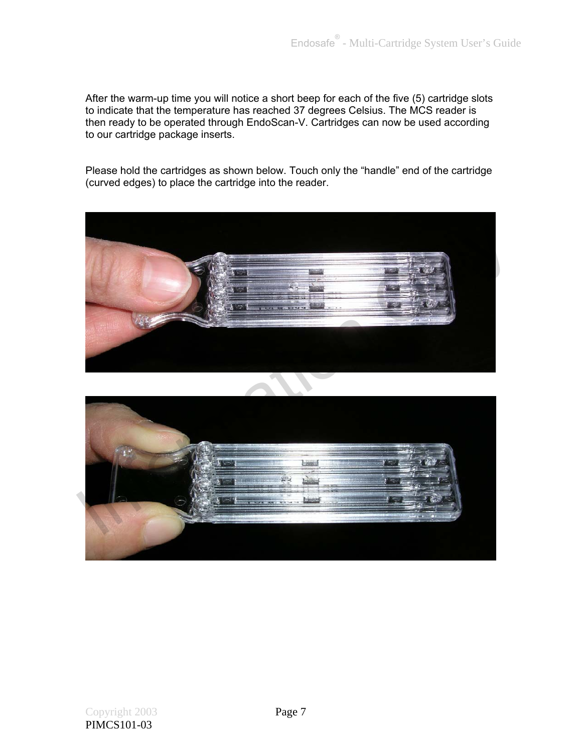After the warm-up time you will notice a short beep for each of the five (5) cartridge slots to indicate that the temperature has reached 37 degrees Celsius. The MCS reader is then ready to be operated through EndoScan-V. Cartridges can now be used according to our cartridge package inserts.

Please hold the cartridges as shown below. Touch only the "handle" end of the cartridge (curved edges) to place the cartridge into the reader.



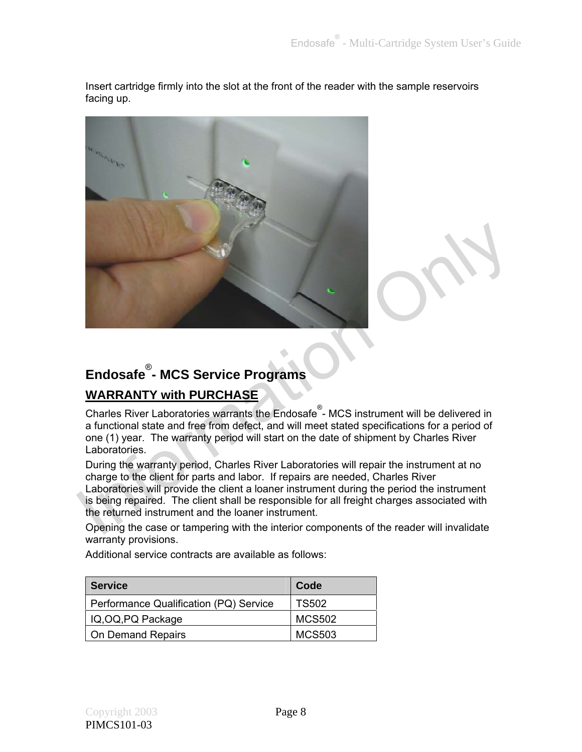Insert cartridge firmly into the slot at the front of the reader with the sample reservoirs facing up.



# **Endosafe**® **- MCS Service Programs**

### **WARRANTY with PURCHASE**

Charles River Laboratories warrants the Endosafe<sup>®</sup>- MCS instrument will be delivered in a functional state and free from defect, and will meet stated specifications for a period of one (1) year. The warranty period will start on the date of shipment by Charles River Laboratories.

During the warranty period, Charles River Laboratories will repair the instrument at no charge to the client for parts and labor. If repairs are needed, Charles River Laboratories will provide the client a loaner instrument during the period the instrument

is being repaired. The client shall be responsible for all freight charges associated with the returned instrument and the loaner instrument.

Opening the case or tampering with the interior components of the reader will invalidate warranty provisions.

Additional service contracts are available as follows:

| <b>Service</b>                         | Code          |
|----------------------------------------|---------------|
| Performance Qualification (PQ) Service | TS502         |
| IQ, OQ, PQ Package                     | MCS502        |
| <b>On Demand Repairs</b>               | <b>MCS503</b> |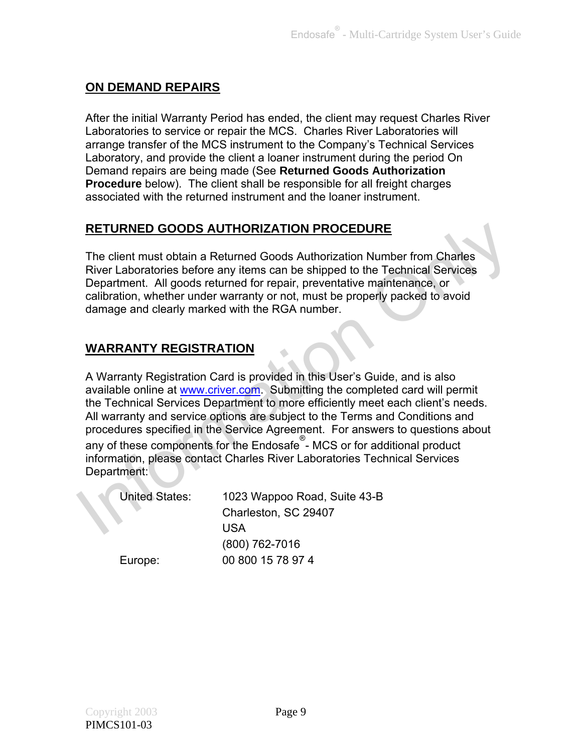### **ON DEMAND REPAIRS**

After the initial Warranty Period has ended, the client may request Charles River Laboratories to service or repair the MCS. Charles River Laboratories will arrange transfer of the MCS instrument to the Company's Technical Services Laboratory, and provide the client a loaner instrument during the period On Demand repairs are being made (See **Returned Goods Authorization Procedure** below). The client shall be responsible for all freight charges associated with the returned instrument and the loaner instrument.

### **RETURNED GOODS AUTHORIZATION PROCEDURE**

The client must obtain a Returned Goods Authorization Number from Charles River Laboratories before any items can be shipped to the Technical Services Department. All goods returned for repair, preventative maintenance, or calibration, whether under warranty or not, must be properly packed to avoid damage and clearly marked with the RGA number.

### **WARRANTY REGISTRATION**

A Warranty Registration Card is provided in this User's Guide, and is also available online at www.criver.com. Submitting the completed card will permit the Technical Services Department to more efficiently meet each client's needs. All warranty and service options are subject to the Terms and Conditions and procedures specified in the Service Agreement. For answers to questions about **RETURNED GOODS AUTHORIZATION PROCEDURE**<br>
The client must obt[a](http://www.endosafe.com/)in a Returned Goods Authorization Number from Charles<br>
River Laboratories before any items can be shipped to the Technical Services<br>
Department. All goods retur

any of these components for the Endosafe® - MCS or for additional product information, please contact Charles River Laboratories Technical Services Department:

| <b>United States:</b> | 1023 Wappoo Road, Suite 43-B |
|-----------------------|------------------------------|
|                       | Charleston, SC 29407         |
|                       | USA                          |
|                       | (800) 762-7016               |
| Europe:               | 00 800 15 78 97 4            |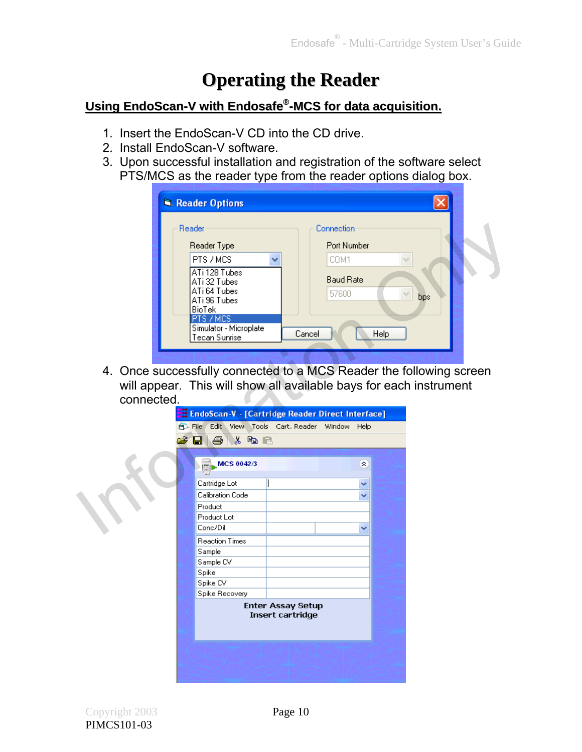## **Operating the Reader**

### **Using EndoScan-V with Endosafe® Using EndoScan-V with Endosafe -MCS for data acquisition. ®-MCS for data acquisition.**

- 1. Insert the EndoScan-V CD into the CD drive.
- 2. Install EndoScan-V software.
- 3. Upon successful installation and registration of the software select PTS/MCS as the reader type from the reader options dialog box.

|            | Reader Options                                                      |                                  |  |
|------------|---------------------------------------------------------------------|----------------------------------|--|
|            | Reader                                                              | Connection                       |  |
|            | Reader Type                                                         | Port Number                      |  |
|            | PTS / MCS<br>ATi 128 Tubes                                          | COM1                             |  |
|            | ATi 32 Tubes<br>ATi 64 Tubes                                        | <b>Baud Rate</b><br>57600<br>bps |  |
|            | ATi 96 Tubes<br><b>BioTek</b>                                       |                                  |  |
|            | PTS / MCS<br>Simulator - Microplate<br>Tecan Sunrise                | Cancel<br>Help                   |  |
|            |                                                                     |                                  |  |
|            | 4. Once successfully connected to a MCS Reader the following screen |                                  |  |
|            | will appear. This will show all available bays for each instrument  |                                  |  |
| connected. |                                                                     |                                  |  |
|            | EndoScan-V - [Cartridge Reader Direct Interface]                    |                                  |  |
|            | Edit View Tools Cart Reader Window Help<br><b>B</b> File            |                                  |  |
|            | О<br>4<br><b>&amp; &amp; B</b><br>÷                                 |                                  |  |
|            |                                                                     |                                  |  |
|            | MCS 0042/3                                                          | 交                                |  |
|            | Cartridge Lot                                                       | v                                |  |
|            | Calibration Code                                                    | ◡                                |  |
|            | Product                                                             |                                  |  |
|            | Product Lot                                                         |                                  |  |
|            | Conc/Dil                                                            | ▿                                |  |

| EndoScan-V - [Cartridge Reader Direct Interface]<br>Edit View Tools Cart Reader Window Help<br><b>B</b> File<br>C d & X & C<br>MCS 0042/3<br>Cartridge Lot<br>Calibration Code<br>Product<br>Product Lot<br>Conc/Dil<br><b>Reaction Times</b><br>Sample | 交<br>▽<br>v |
|---------------------------------------------------------------------------------------------------------------------------------------------------------------------------------------------------------------------------------------------------------|-------------|
|                                                                                                                                                                                                                                                         |             |
|                                                                                                                                                                                                                                                         |             |
|                                                                                                                                                                                                                                                         |             |
|                                                                                                                                                                                                                                                         |             |
|                                                                                                                                                                                                                                                         |             |
|                                                                                                                                                                                                                                                         |             |
|                                                                                                                                                                                                                                                         |             |
|                                                                                                                                                                                                                                                         |             |
|                                                                                                                                                                                                                                                         |             |
|                                                                                                                                                                                                                                                         |             |
|                                                                                                                                                                                                                                                         |             |
|                                                                                                                                                                                                                                                         | v           |
|                                                                                                                                                                                                                                                         |             |
|                                                                                                                                                                                                                                                         |             |
| Sample CV                                                                                                                                                                                                                                               |             |
| Spike                                                                                                                                                                                                                                                   |             |
| Spike CV                                                                                                                                                                                                                                                |             |
| Spike Recovery                                                                                                                                                                                                                                          |             |
| <b>Enter Assay Setup</b><br>Insert cartridge                                                                                                                                                                                                            |             |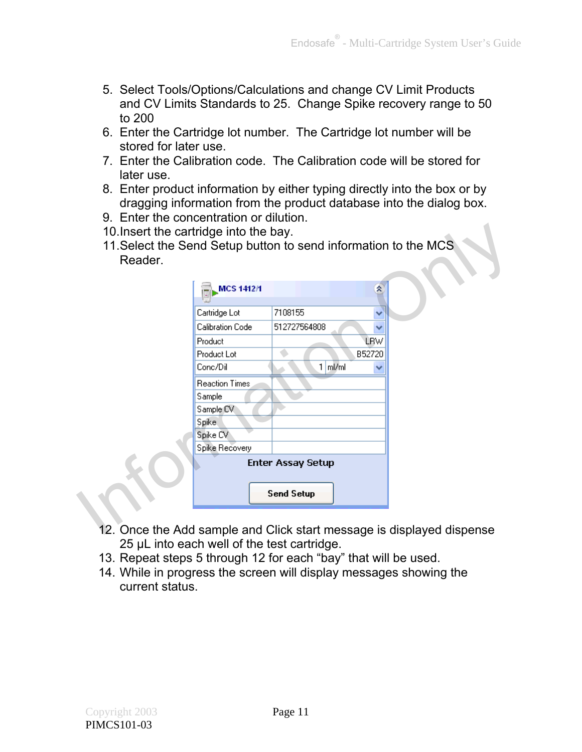- 5. Select Tools/Options/Calculations and change CV Limit Products and CV Limits Standards to 25. Change Spike recovery range to 50 to 200
- 6. Enter the Cartridge lot number. The Cartridge lot number will be stored for later use.
- 7. Enter the Calibration code. The Calibration code will be stored for later use.
- 8. Enter product information by either typing directly into the box or by dragging information from the product database into the dialog box.
- 9. Enter the concentration or dilution.
- 10.Insert the cartridge into the bay.
- 11.Select the Send Setup button to send information to the MCS Reader.

| <b>MCS 1412/1</b>     |                          | 소          |  |
|-----------------------|--------------------------|------------|--|
| Cartridge Lot         | 7108155                  |            |  |
| Calibration Code      | 512727564808             |            |  |
| Product               |                          | <b>LBW</b> |  |
| Product Lot           |                          | B52720     |  |
| Conc/Dil              | $1 \mid mVm$             |            |  |
| <b>Reaction Times</b> |                          |            |  |
| Sample                |                          |            |  |
| Sample CV             |                          |            |  |
| Spike.                |                          |            |  |
| Spike CV              |                          |            |  |
| Spike Recovery        |                          |            |  |
|                       | <b>Enter Assay Setup</b> |            |  |
|                       |                          |            |  |
|                       | <b>Send Setup</b>        |            |  |

- 12. Once the Add sample and Click start message is displayed dispense 25 µL into each well of the test cartridge.
- 13. Repeat steps 5 through 12 for each "bay" that will be used.
- 14. While in progress the screen will display messages showing the current status.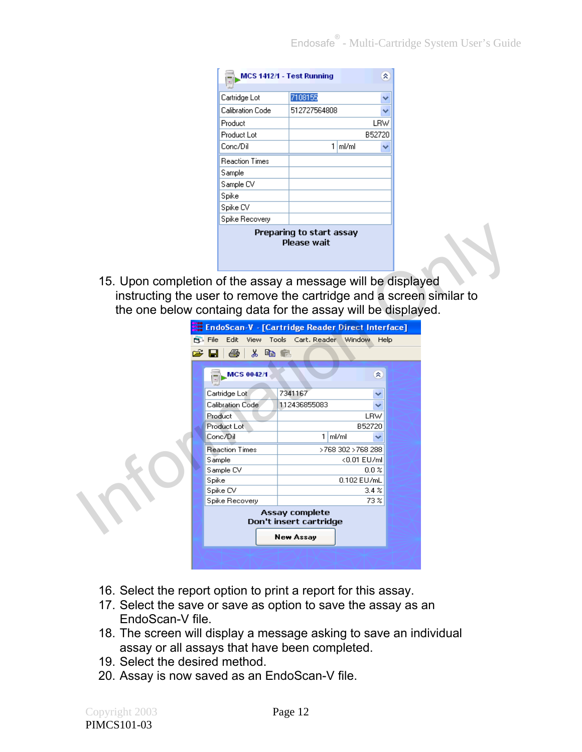| MCS 1412/1 - Test Running                      |              |       | 슷      |  |
|------------------------------------------------|--------------|-------|--------|--|
|                                                |              |       |        |  |
| Cartridge Lot                                  | 7108155      |       |        |  |
| Calibration Code                               | 512727564808 |       |        |  |
| Product                                        |              |       | LRW    |  |
| Product Lot                                    |              |       | B52720 |  |
| Conc/Dil                                       | 1            | ml/ml |        |  |
| <b>Reaction Times</b>                          |              |       |        |  |
| Sample                                         |              |       |        |  |
| Sample CV                                      |              |       |        |  |
| Spike                                          |              |       |        |  |
| Spike CV                                       |              |       |        |  |
| Spike Recovery                                 |              |       |        |  |
| Preparing to start assay<br><b>Please wait</b> |              |       |        |  |

|                                                                                                                                                                                                      |                                                    | Preparing to start assay<br><b>Please wait</b> |                    |  |
|------------------------------------------------------------------------------------------------------------------------------------------------------------------------------------------------------|----------------------------------------------------|------------------------------------------------|--------------------|--|
| 15. Upon completion of the assay a message will be displayed<br>instructing the user to remove the cartridge and a screen similar to<br>the one below containg data for the assay will be displayed. |                                                    |                                                |                    |  |
|                                                                                                                                                                                                      | : EndoScan-V - [Cartridge Reader Direct Interface] |                                                |                    |  |
| <b>PL</b> File                                                                                                                                                                                       |                                                    | Edit View Tools Cart Reader Window Help        |                    |  |
|                                                                                                                                                                                                      | 人生色<br>噕                                           |                                                |                    |  |
|                                                                                                                                                                                                      | MCS 0042/1                                         |                                                | 交                  |  |
|                                                                                                                                                                                                      | Cartridge Lot                                      | 7341167                                        |                    |  |
|                                                                                                                                                                                                      | Calibration Code                                   | 112436855083                                   |                    |  |
|                                                                                                                                                                                                      | Product                                            |                                                | <b>LRW</b>         |  |
|                                                                                                                                                                                                      | Product Lot                                        |                                                | B52720             |  |
|                                                                                                                                                                                                      | Conc/Dil                                           | $1 \mid m l / m l$                             |                    |  |
|                                                                                                                                                                                                      | <b>Reaction Times</b>                              |                                                | >768 302 > 768 288 |  |
|                                                                                                                                                                                                      | Sample                                             |                                                | <0.01 EU/ml        |  |
|                                                                                                                                                                                                      | Sample CV                                          |                                                | $0.0 \times$       |  |
|                                                                                                                                                                                                      | Spike                                              |                                                | 0.102 EU/mL        |  |
|                                                                                                                                                                                                      | Spike CV                                           |                                                | 3.4%               |  |
|                                                                                                                                                                                                      | Spike Recovery                                     |                                                | 73 <sup>2</sup>    |  |
|                                                                                                                                                                                                      |                                                    | Assay complete<br>Don't insert cartridge       |                    |  |
|                                                                                                                                                                                                      |                                                    | <b>New Assay</b>                               |                    |  |
|                                                                                                                                                                                                      |                                                    |                                                |                    |  |

- 16. Select the report option to print a report for this assay.
- 17. Select the save or save as option to save the assay as an EndoScan-V file.
- 18. The screen will display a message asking to save an individual assay or all assays that have been completed.
- 19. Select the desired method.
- 20. Assay is now saved as an EndoScan-V file.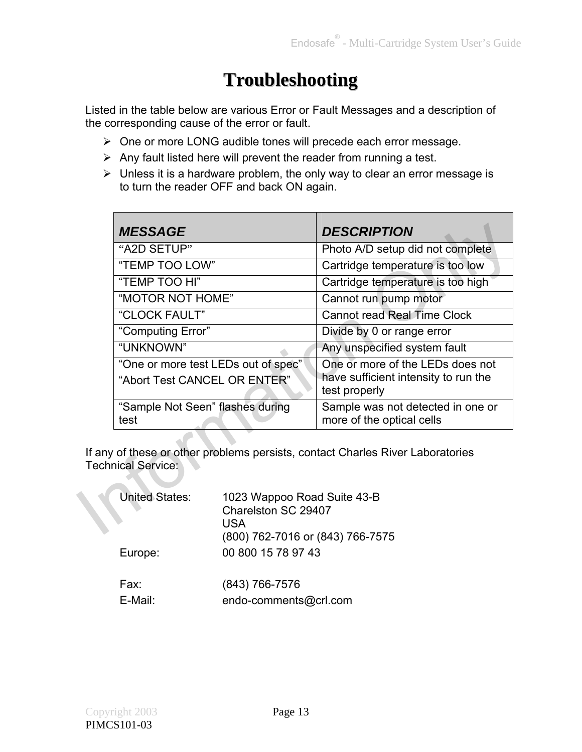## **Troubleshooting**

Listed in the table below are various Error or Fault Messages and a description of the corresponding cause of the error or fault.

- ▶ One or more LONG audible tones will precede each error message.
- $\triangleright$  Any fault listed here will prevent the reader from running a test.
- $\triangleright$  Unless it is a hardware problem, the only way to clear an error message is to turn the reader OFF and back ON again.

|                                                                                | <b>MESSAGE</b>                                                                                                                                                                                                            |  | <b>DESCRIPTION</b>                                             |  |
|--------------------------------------------------------------------------------|---------------------------------------------------------------------------------------------------------------------------------------------------------------------------------------------------------------------------|--|----------------------------------------------------------------|--|
|                                                                                | "A2D SETUP"                                                                                                                                                                                                               |  | Photo A/D setup did not complete                               |  |
|                                                                                | "TEMP TOO LOW"<br>"TEMP TOO HI"<br>"MOTOR NOT HOME"<br>"CLOCK FAULT"<br>"Computing Error"<br>"UNKNOWN"<br>"One or more test LEDs out of spec"<br>"Abort Test CANCEL OR ENTER"<br>"Sample Not Seen" flashes during<br>test |  | Cartridge temperature is too low                               |  |
|                                                                                |                                                                                                                                                                                                                           |  | Cartridge temperature is too high                              |  |
|                                                                                |                                                                                                                                                                                                                           |  | Cannot run pump motor                                          |  |
|                                                                                |                                                                                                                                                                                                                           |  | <b>Cannot read Real Time Clock</b>                             |  |
|                                                                                |                                                                                                                                                                                                                           |  | Divide by 0 or range error                                     |  |
|                                                                                |                                                                                                                                                                                                                           |  | Any unspecified system fault                                   |  |
|                                                                                |                                                                                                                                                                                                                           |  | One or more of the LEDs does not                               |  |
|                                                                                |                                                                                                                                                                                                                           |  | have sufficient intensity to run the<br>test properly          |  |
|                                                                                |                                                                                                                                                                                                                           |  | Sample was not detected in one or<br>more of the optical cells |  |
|                                                                                |                                                                                                                                                                                                                           |  |                                                                |  |
| If any of these or other problems persists, contact Charles River Laboratories |                                                                                                                                                                                                                           |  |                                                                |  |
| <b>Technical Service:</b>                                                      |                                                                                                                                                                                                                           |  |                                                                |  |
|                                                                                | <b>United States:</b><br>1023 Wappoo Road Suite 43-B<br>Charelston SC 29407<br>USA<br>(0.0017007040 (0.4017007777)                                                                                                        |  |                                                                |  |

| <b>United States:</b> | 1023 Wappoo Road Suite 43-B<br>Charelston SC 29407<br>USA<br>(800) 762-7016 or (843) 766-7575 |  |
|-----------------------|-----------------------------------------------------------------------------------------------|--|
| Europe:               | 00 800 15 78 97 43                                                                            |  |
| Fax:<br>E-Mail:       | (843) 766-7576<br>endo-comments@crl.com                                                       |  |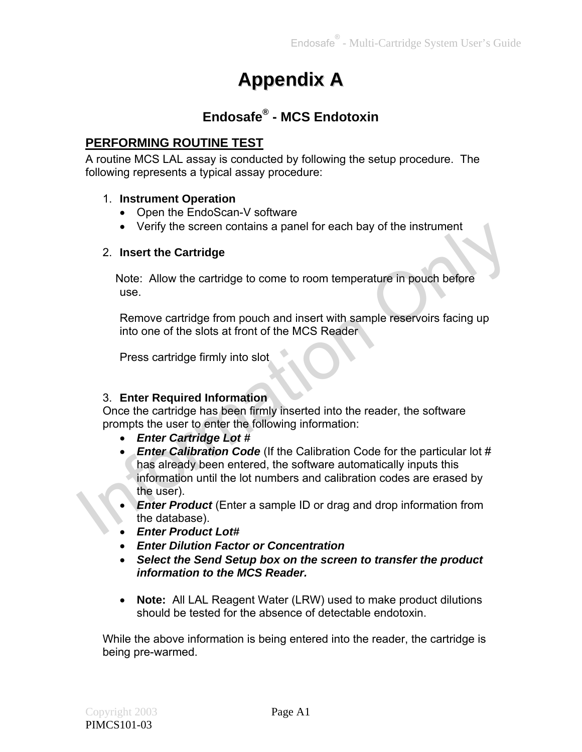## **Appendix A**

### **Endosafe® - MCS Endotoxin**

### **PERFORMING ROUTINE TEST**

A routine MCS LAL assay is conducted by following the setup procedure. The following represents a typical assay procedure:

### 1. **Instrument Operation**

- Open the EndoScan-V software
- Verify the screen contains a panel for each bay of the instrument

#### 2. **Insert the Cartridge**

Note: Allow the cartridge to come to room temperature in pouch before use.

Remove cartridge from pouch and insert with sample reservoirs facing up into one of the slots at front of the MCS Reader

Press cartridge firmly into slot

### 3. **Enter Required Information**

Once the cartridge has been firmly inserted into the reader, the software prompts the user to enter the following information:

- *Enter Cartridge Lot #*
- *Enter Calibration Code* (If the Calibration Code for the particular lot # has already been entered, the software automatically inputs this information until the lot numbers and calibration codes are erased by the user). • Verify the screen contains a panel for each bay of the instrument<br>
2. Insert the Cartridge<br>
Note: Allow the cartridge to come to room temperature in pouch before<br>
use.<br>
Remove cartridge from pouch and insert with sample
	- *Enter Product* (Enter a sample ID or drag and drop information from the database).
	- *Enter Product Lot#*
	- *Enter Dilution Factor or Concentration*
	- *Select the Send Setup box on the screen to transfer the product information to the MCS Reader.*
	- **Note:** All LAL Reagent Water (LRW) used to make product dilutions should be tested for the absence of detectable endotoxin.

While the above information is being entered into the reader, the cartridge is being pre-warmed.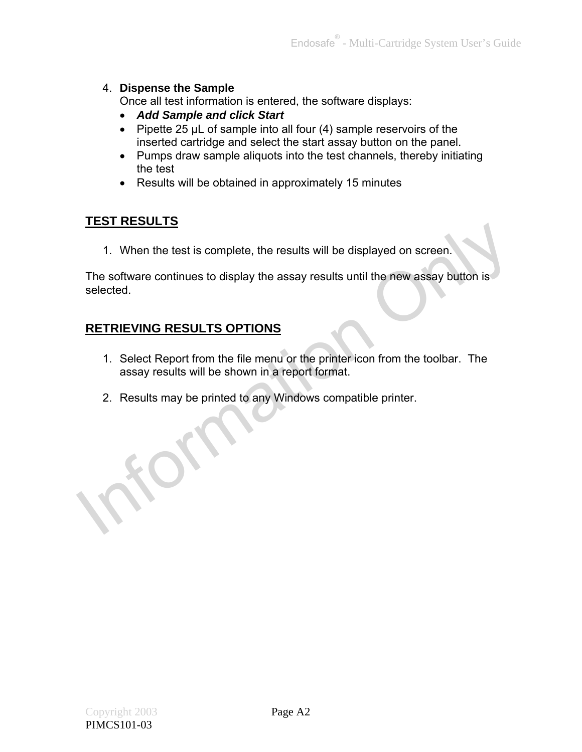#### 4. **Dispense the Sample**

Once all test information is entered, the software displays:

- *Add Sample and click Start*
- Pipette 25  $\mu$ L of sample into all four (4) sample reservoirs of the inserted cartridge and select the start assay button on the panel.
- Pumps draw sample aliquots into the test channels, thereby initiating the test
- Results will be obtained in approximately 15 minutes

### **TEST RESULTS**

1. When the test is complete, the results will be displayed on screen.

The software continues to display the assay results until the new assay button is selected. 1. When the test is complete, the results will be displayed on screen.<br>
The software continues to display the assay results until the new assay button is<br>
selected.<br> **RETRIEVING RESULTS OPTIONS**<br>
1. Select Report from the

### **RETRIEVING RESULTS OPTIONS**

- 1. Select Report from the file menu or the printer icon from the toolbar. The assay results will be shown in a report format.
- 2. Results may be printed to any Windows compatible printer.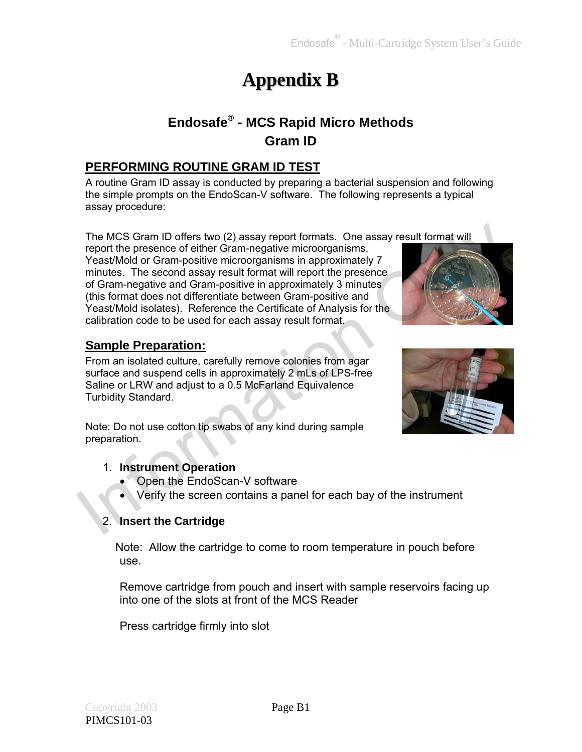## **Appendix B**

### **Endosafe® - MCS Rapid Micro Methods Gram ID**

### **PERFORMING ROUTINE GRAM ID TEST**

A routine Gram ID assay is conducted by preparing a bacterial suspension and following the simple prompts on the EndoScan-V software. The following represents a typical assay procedure:

The MCS Gram ID offers two (2) assay report formats. One assay result format will report the presence of either Gram-negative microorganisms, Yeast/Mold or Gram-positive microorganisms in approximately 7 minutes. The second assay result format will report the presence of Gram-negative and Gram-positive in approximately 3 minutes (this format does not differentiate between Gram-positive and Yeast/Mold isolates). Reference the Certificate of Analysis for the calibration code to be used for each assay result format. The MCS Gram ID offers two (2) assay report formats. One assay result format will<br>report the presence of either Gram-negative microorganisms,<br>YeastWold or Gram-negative microorganisms in approximately 7<br>minutes. The second

### **Sample Preparation:**

From an isolated culture, carefully remove colonies from agar surface and suspend cells in approximately 2 mLs of LPS-free Saline or LRW and adjust to a 0.5 McFarland Equivalence Turbidity Standard.



### 1. **Instrument Operation**

- Open the EndoScan-V software
- Verify the screen contains a panel for each bay of the instrument

### 2. **Insert the Cartridge**

Note: Allow the cartridge to come to room temperature in pouch before use.

Remove cartridge from pouch and insert with sample reservoirs facing up into one of the slots at front of the MCS Reader

Press cartridge firmly into slot



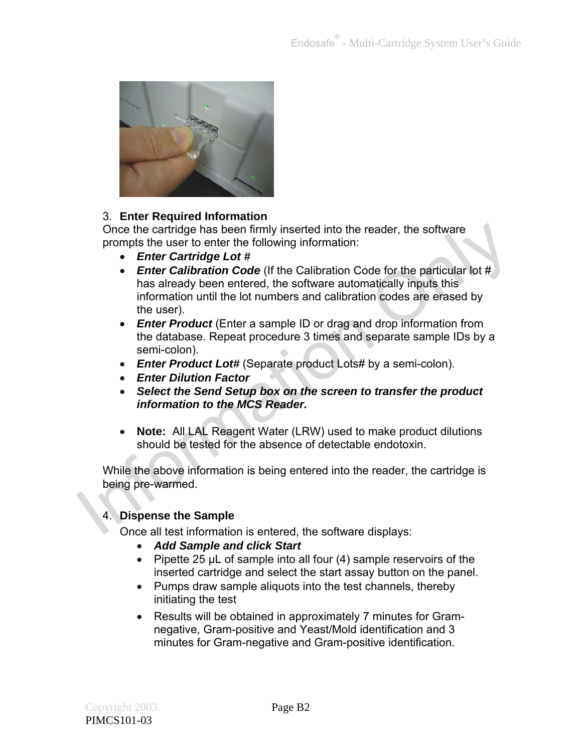

### 3. **Enter Required Information**

Once the cartridge has been firmly inserted into the reader, the software prompts the user to enter the following information:

- *Enter Cartridge Lot #*
- *Enter Calibration Code* (If the Calibration Code for the particular lot # has already been entered, the software automatically inputs this information until the lot numbers and calibration codes are erased by the user). Once the cartridge has been firmly inserted into the reader, the software<br>
prompts the user to enter the following information:<br>
• Enter Cartridge Lot #<br>
• Enter Calibration Code (if the Calibration Code for the particula
	- *Enter Product* (Enter a sample ID or drag and drop information from the database. Repeat procedure 3 times and separate sample IDs by a semi-colon).
	- *Enter Product Lot#* (Separate product Lots# by a semi-colon).
	- *Enter Dilution Factor*
	- *Select the Send Setup box on the screen to transfer the product information to the MCS Reader.*
	- **Note:** All LAL Reagent Water (LRW) used to make product dilutions should be tested for the absence of detectable endotoxin.

While the above information is being entered into the reader, the cartridge is being pre-warmed.

### 4. **Dispense the Sample**

Once all test information is entered, the software displays:

- *Add Sample and click Start*
- Pipette 25  $\mu$ L of sample into all four (4) sample reservoirs of the inserted cartridge and select the start assay button on the panel.
- Pumps draw sample aliquots into the test channels, thereby initiating the test
- Results will be obtained in approximately 7 minutes for Gramnegative, Gram-positive and Yeast/Mold identification and 3 minutes for Gram-negative and Gram-positive identification.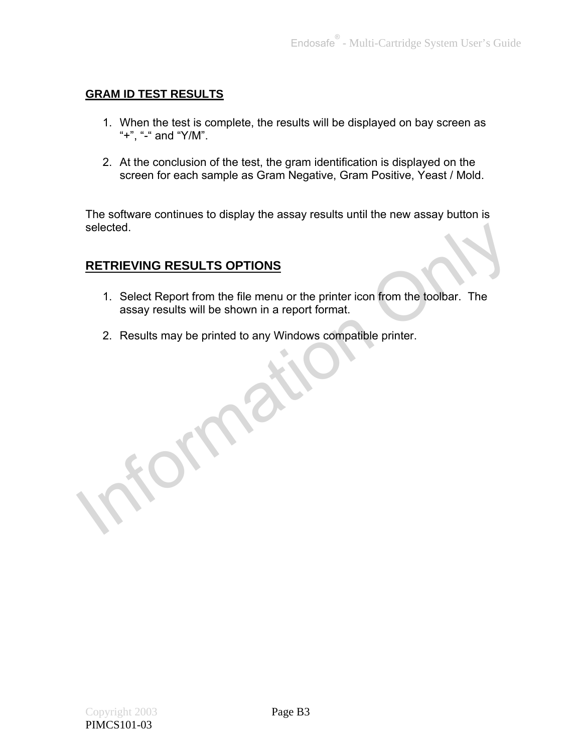### **GRAM ID TEST RESULTS**

- 1. When the test is complete, the results will be displayed on bay screen as "+", "-" and "Y/M".
- 2. At the conclusion of the test, the gram identification is displayed on the screen for each sample as Gram Negative, Gram Positive, Yeast / Mold.

The software continues to display the assay results until the new assay button is selected.

### **RETRIEVING RESULTS OPTIONS**

- 1. Select Report from the file menu or the printer icon from the toolbar. The assay results will be shown in a report format. Selected.<br>
RETRIEVING RESULTS OPTIONS<br>
1. Select Report from the file menu or the printer icon from the toolbar. The<br>
assay results may be printed to any Windows compatible printer.<br>
2. Results may be printed to any Window
	- 2. Results may be printed to any Windows compatible printer.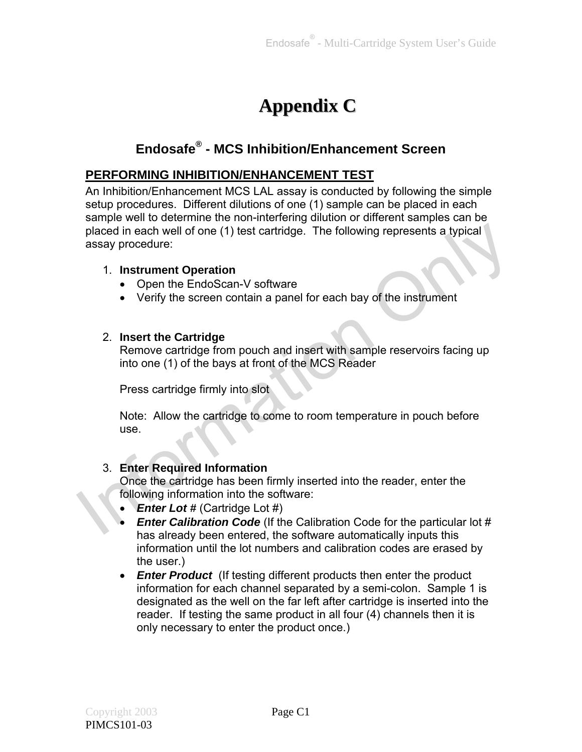## **Appendix C**

### **Endosafe® - MCS Inhibition/Enhancement Screen**

### **PERFORMING INHIBITION/ENHANCEMENT TEST**

An Inhibition/Enhancement MCS LAL assay is conducted by following the simple setup procedures. Different dilutions of one (1) sample can be placed in each sample well to determine the non-interfering dilution or different samples can be placed in each well of one (1) test cartridge. The following represents a typical assay procedure: placed in each well of one (1) test cartridge. The following represents a typical<br>
assay procedure:<br>
1. Instrument Operation<br>
• Open the EndoScan-V software<br>
• Verify the screen contain a panel for each bay of the instrum

#### 1. **Instrument Operation**

- Open the EndoScan-V software
- Verify the screen contain a panel for each bay of the instrument

#### 2. **Insert the Cartridge**

Remove cartridge from pouch and insert with sample reservoirs facing up into one (1) of the bays at front of the MCS Reader

Press cartridge firmly into slot

Note: Allow the cartridge to come to room temperature in pouch before use.

### 3. **Enter Required Information**

Once the cartridge has been firmly inserted into the reader, enter the following information into the software:

- *Enter Lot #* (Cartridge Lot #)
- *Enter Calibration Code* (If the Calibration Code for the particular lot # has already been entered, the software automatically inputs this information until the lot numbers and calibration codes are erased by the user.)
- *Enter Product* (If testing different products then enter the product information for each channel separated by a semi-colon. Sample 1 is designated as the well on the far left after cartridge is inserted into the reader. If testing the same product in all four (4) channels then it is only necessary to enter the product once.)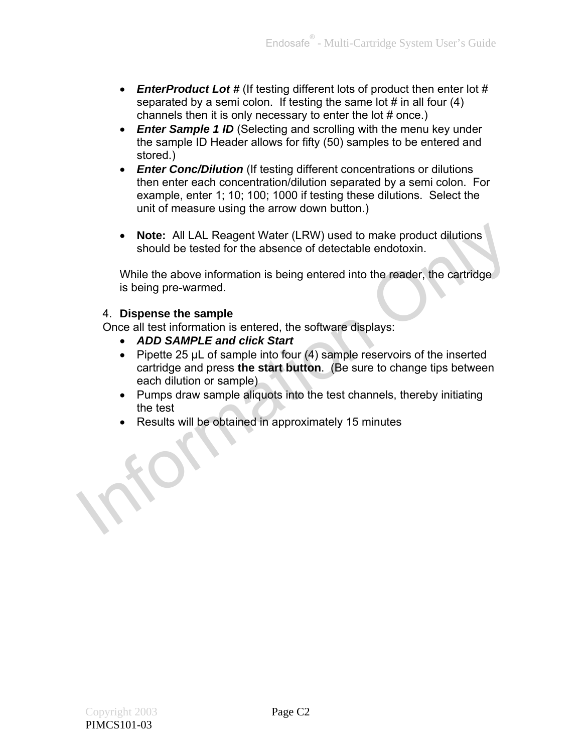- *EnterProduct Lot #* (If testing different lots of product then enter lot # separated by a semi colon. If testing the same lot  $#$  in all four  $(4)$ channels then it is only necessary to enter the lot # once.)
- **Enter Sample 1 ID** (Selecting and scrolling with the menu key under the sample ID Header allows for fifty (50) samples to be entered and stored.)
- *Enter Conc/Dilution* (If testing different concentrations or dilutions then enter each concentration/dilution separated by a semi colon. For example, enter 1; 10; 100; 1000 if testing these dilutions. Select the unit of measure using the arrow down button.)
- **Note:** All LAL Reagent Water (LRW) used to make product dilutions should be tested for the absence of detectable endotoxin.

While the above information is being entered into the reader, the cartridge is being pre-warmed.

### 4. **Dispense the sample**

Once all test information is entered, the software displays:

- *ADD SAMPLE and click Start*
- Pipette 25  $\mu$ L of sample into four (4) sample reservoirs of the inserted cartridge and press **the start button**. (Be sure to change tips between each dilution or sample) • Note: All LAL Reagent Water (LRW) used to make product dilutions<br>should be tested for the absence of detectable endotoxin.<br>While the above information is being entered into the reader, the cartridge<br>is being pre-warmed.
	- Pumps draw sample aliquots into the test channels, thereby initiating the test
	- Results will be obtained in approximately 15 minutes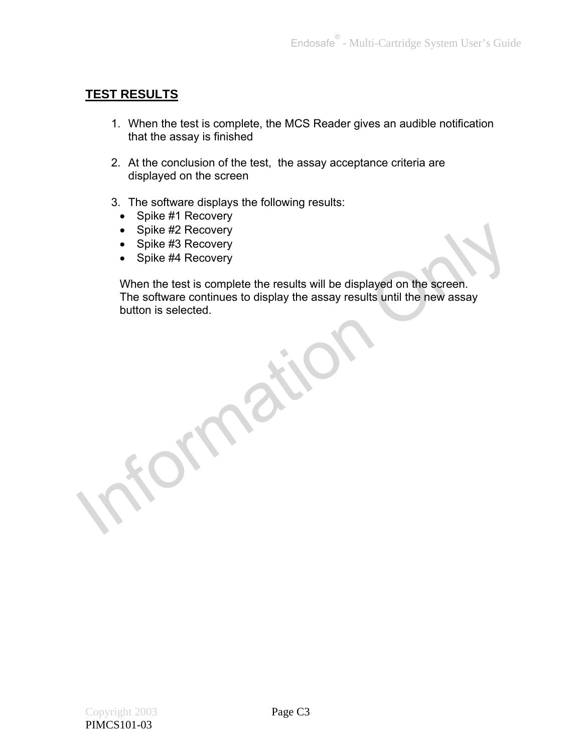### **TEST RESULTS**

- 1. When the test is complete, the MCS Reader gives an audible notification that the assay is finished
- 2. At the conclusion of the test, the assay acceptance criteria are displayed on the screen
- 3. The software displays the following results:
	- Spike #1 Recovery
	- Spike #2 Recovery
	- Spike #3 Recovery
	- Spike #4 Recovery

When the test is complete the results will be displayed on the screen. The software continues to display the assay results until the new assay button is selected. Splike #2 Recovery<br>
Splike #3 Recovery<br>
Splike #4 Recovery<br>
When the test is complete the results will be displayed on the screen.<br>
The software continues to display the assay results until the new assay<br>
button is selecte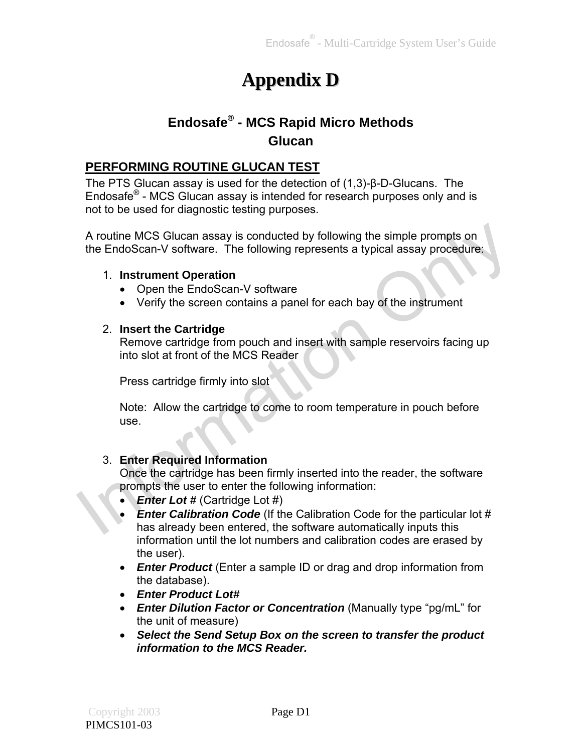## **Appendix D**

### **Endosafe® - MCS Rapid Micro Methods Glucan**

### **PERFORMING ROUTINE GLUCAN TEST**

The PTS Glucan assay is used for the detection of (1,3)-β-D-Glucans. The Endosafe® - MCS Glucan assay is intended for research purposes only and is not to be used for diagnostic testing purposes.

A routine MCS Glucan assay is conducted by following the simple prompts on the EndoScan-V software. The following represents a typical assay procedure:

#### 1. **Instrument Operation**

- Open the EndoScan-V software
- Verify the screen contains a panel for each bay of the instrument

#### 2. **Insert the Cartridge**

Remove cartridge from pouch and insert with sample reservoirs facing up into slot at front of the MCS Reader

Press cartridge firmly into slot

Note: Allow the cartridge to come to room temperature in pouch before use.

### 3. **Enter Required Information**

Once the cartridge has been firmly inserted into the reader, the software prompts the user to enter the following information:

- *Enter Lot #* (Cartridge Lot #)
- *Enter Calibration Code* (If the Calibration Code for the particular lot # has already been entered, the software automatically inputs this information until the lot numbers and calibration codes are erased by the user). A routine MCS Glucan assay is conducted by following the simple prompts on<br>the EndoScan-V software. The following represents a typical assay procedure:<br>
1. Instrument Operation<br>
• Open the EndoScan-V software<br>
• Verify th
	- *Enter Product* (Enter a sample ID or drag and drop information from the database).
	- *Enter Product Lot#*
	- *Enter Dilution Factor or Concentration* (Manually type "pg/mL" for the unit of measure)
	- *Select the Send Setup Box on the screen to transfer the product information to the MCS Reader.*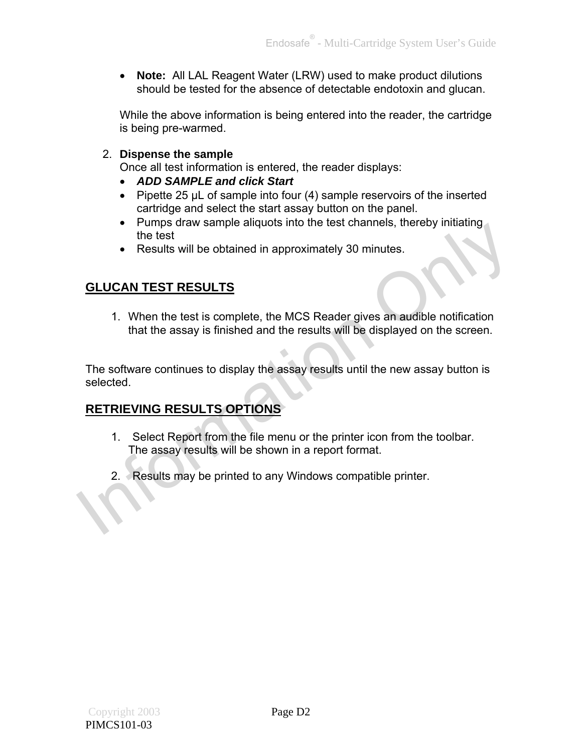**Note:** All LAL Reagent Water (LRW) used to make product dilutions should be tested for the absence of detectable endotoxin and glucan.

While the above information is being entered into the reader, the cartridge is being pre-warmed.

2. **Dispense the sample** 

Once all test information is entered, the reader displays:

- *ADD SAMPLE and click Start*
- Pipette 25  $\mu$ L of sample into four (4) sample reservoirs of the inserted cartridge and select the start assay button on the panel.
- Pumps draw sample aliquots into the test channels, thereby initiating the test
- Results will be obtained in approximately 30 minutes.

### **GLUCAN TEST RESULTS**

1. When the test is complete, the MCS Reader gives an audible notification that the assay is finished and the results will be displayed on the screen.

The software continues to display the assay results until the new assay button is selected. The state of the letst<br>
SECUCAN TEST RESULTS<br>
1. When the test is complete, the MCS Reader gives an audible notification<br>
that the assay is finished and the results will be displayed on the screen.<br>
The software continues

### **RETRIEVING RESULTS OPTIONS**

- 1. Select Report from the file menu or the printer icon from the toolbar. The assay results will be shown in a report format.
- 2. Results may be printed to any Windows compatible printer.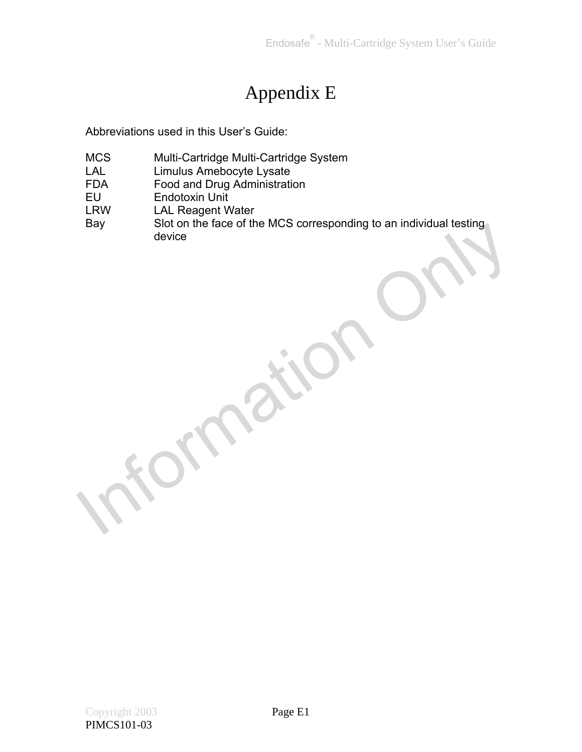## Appendix E

Abbreviations used in this User's Guide:

- MCS Multi-Cartridge Multi-Cartridge System
- LAL Limulus Amebocyte Lysate
- FDA Food and Drug Administration<br>EU Endotoxin Unit
- EU Endotoxin Unit<br>
LRW LAL Reagent W
- LAL Reagent Water
- Bay Slot on the face of the MCS corresponding to an individual testing device N11011